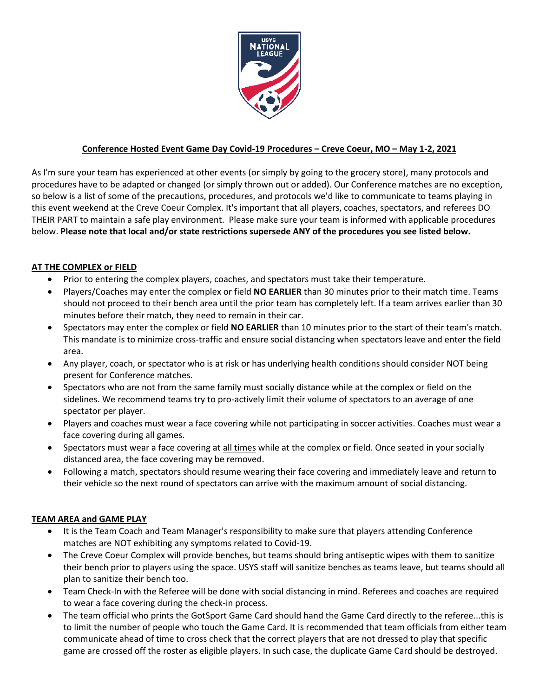

## **Conference Hosted Event Game Day Covid-19 Procedures – Creve Coeur, MO – May 1-2, 2021**

As I'm sure your team has experienced at other events (or simply by going to the grocery store), many protocols and procedures have to be adapted or changed (or simply thrown out or added). Our Conference matches are no exception, so below is a list of some of the precautions, procedures, and protocols we'd like to communicate to teams playing in this event weekend at the Creve Coeur Complex. It's important that all players, coaches, spectators, and referees DO THEIR PART to maintain a safe play environment. Please make sure your team is informed with applicable procedures below. **Please note that local and/or state restrictions supersede ANY of the procedures you see listed below.**

## **AT THE COMPLEX or FIELD**

- Prior to entering the complex players, coaches, and spectators must take their temperature.
- Players/Coaches may enter the complex or field **NO EARLIER** than 30 minutes prior to their match time. Teams should not proceed to their bench area until the prior team has completely left. If a team arrives earlier than 30 minutes before their match, they need to remain in their car.
- Spectators may enter the complex or field **NO EARLIER** than 10 minutes prior to the start of their team's match. This mandate is to minimize cross-traffic and ensure social distancing when spectators leave and enter the field area.
- Any player, coach, or spectator who is at risk or has underlying health conditions should consider NOT being present for Conference matches.
- Spectators who are not from the same family must socially distance while at the complex or field on the sidelines. We recommend teams try to pro-actively limit their volume of spectators to an average of one spectator per player.
- Players and coaches must wear a face covering while not participating in soccer activities. Coaches must wear a face covering during all games.
- Spectators must wear a face covering at all times while at the complex or field. Once seated in your socially distanced area, the face covering may be removed.
- Following a match, spectators should resume wearing their face covering and immediately leave and return to their vehicle so the next round of spectators can arrive with the maximum amount of social distancing.

## **TEAM AREA and GAME PLAY**

- It is the Team Coach and Team Manager's responsibility to make sure that players attending Conference matches are NOT exhibiting any symptoms related to Covid-19.
- The Creve Coeur Complex will provide benches, but teams should bring antiseptic wipes with them to sanitize their bench prior to players using the space. USYS staff will sanitize benches as teams leave, but teams should all plan to sanitize their bench too.
- Team Check-In with the Referee will be done with social distancing in mind. Referees and coaches are required to wear a face covering during the check-in process.
- The team official who prints the GotSport Game Card should hand the Game Card directly to the referee...this is to limit the number of people who touch the Game Card. It is recommended that team officials from either team communicate ahead of time to cross check that the correct players that are not dressed to play that specific game are crossed off the roster as eligible players. In such case, the duplicate Game Card should be destroyed.